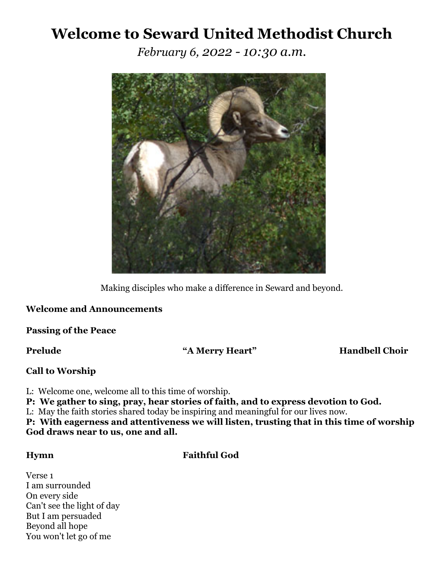# **Welcome to Seward United Methodist Church**

*February 6, 2022 - 10:30 a.m.*



Making disciples who make a difference in Seward and beyond.

**Welcome and Announcements**

**Passing of the Peace**

**Prelude** "A Merry Heart" **Handbell Choir** 

**Call to Worship**

L: Welcome one, welcome all to this time of worship.

**P: We gather to sing, pray, hear stories of faith, and to express devotion to God.**

L: May the faith stories shared today be inspiring and meaningful for our lives now.

**P: With eagerness and attentiveness we will listen, trusting that in this time of worship God draws near to us, one and all.** 

**Hymn Faithful God**

Verse 1 I am surrounded On every side Can't see the light of day But I am persuaded Beyond all hope You won't let go of me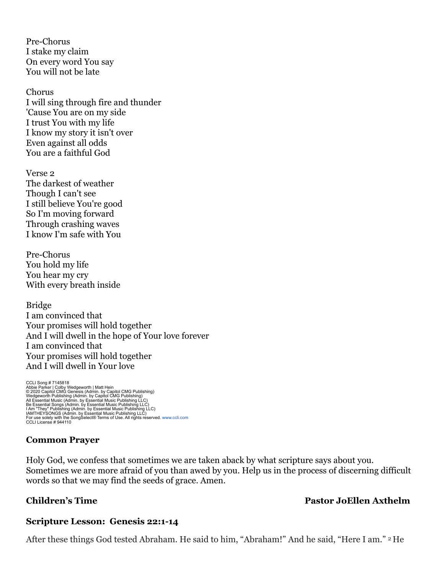Pre-Chorus I stake my claim On every word You say You will not be late

Chorus I will sing through fire and thunder 'Cause You are on my side I trust You with my life I know my story it isn't over Even against all odds You are a faithful God

Verse 2 The darkest of weather Though I can't see I still believe You're good So I'm moving forward Through crashing waves I know I'm safe with You

Pre-Chorus You hold my life You hear my cry With every breath inside

Bridge I am convinced that Your promises will hold together And I will dwell in the hope of Your love forever I am convinced that Your promises will hold together And I will dwell in Your love

CCLI Song # 7145818<br>Abbie Parker | Colby Wedgeworth | Matt Hein<br>@2020 Capitol CMG Genesis (Admin. by Capitol CMG Publishing)<br>Wedgeworth Publishing (Admin. by Capitol CMG Publishing LLC)<br>All Essential Music (Admin. by Essen

### **Common Prayer**

Holy God, we confess that sometimes we are taken aback by what scripture says about you. Sometimes we are more afraid of you than awed by you. Help us in the process of discerning difficult words so that we may find the seeds of grace. Amen.

## **Children's Time Pastor JoEllen Axthelm**

### **Scripture Lesson: Genesis 22:1-14**

After these things God tested Abraham. He said to him, "Abraham!" And he said, "Here I am." <sup>2</sup> He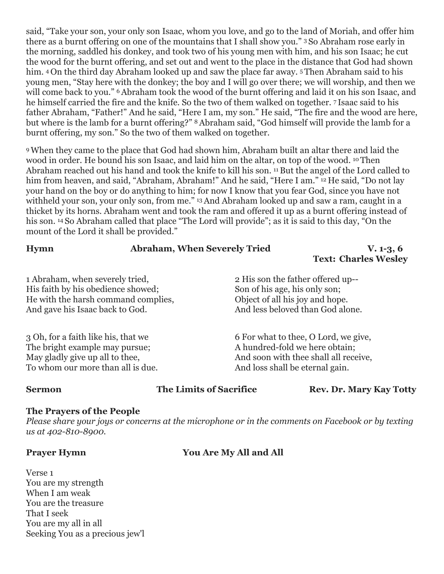said, "Take your son, your only son Isaac, whom you love, and go to the land of Moriah, and offer him there as a burnt offering on one of the mountains that I shall show you." <sup>3</sup> So Abraham rose early in the morning, saddled his donkey, and took two of his young men with him, and his son Isaac; he cut the wood for the burnt offering, and set out and went to the place in the distance that God had shown him. <sup>4</sup> On the third day Abraham looked up and saw the place far away. <sup>5</sup> Then Abraham said to his young men, "Stay here with the donkey; the boy and I will go over there; we will worship, and then we will come back to you." <sup>6</sup> Abraham took the wood of the burnt offering and laid it on his son Isaac, and he himself carried the fire and the knife. So the two of them walked on together. <sup>7</sup> Isaac said to his father Abraham, "Father!" And he said, "Here I am, my son." He said, "The fire and the wood are here, but where is the lamb for a burnt offering?" 8Abraham said, "God himself will provide the lamb for a burnt offering, my son." So the two of them walked on together.

9When they came to the place that God had shown him, Abraham built an altar there and laid the wood in order. He bound his son Isaac, and laid him on the altar, on top of the wood. <sup>10</sup> Then Abraham reached out his hand and took the knife to kill his son. <sup>11</sup> But the angel of the Lord called to him from heaven, and said, "Abraham, Abraham!" And he said, "Here I am." <sup>12</sup> He said, "Do not lay your hand on the boy or do anything to him; for now I know that you fear God, since you have not withheld your son, your only son, from me." <sup>13</sup> And Abraham looked up and saw a ram, caught in a thicket by its horns. Abraham went and took the ram and offered it up as a burnt offering instead of his son. <sup>14</sup> So Abraham called that place "The Lord will provide"; as it is said to this day, "On the mount of the Lord it shall be provided."

| <b>Hymn</b> | <b>Abraham, When Severely Tried</b> |         | $V. 1-3, 6$ |
|-------------|-------------------------------------|---------|-------------|
|             |                                     | _______ |             |

**Text: Charles Wesley**

1 Abraham, when severely tried, 2 His son the father offered up-- His faith by his obedience showed; Son of his age, his only son; He with the harsh command complies, Object of all his joy and hope. And gave his Isaac back to God. And less beloved than God alone.

And loss shall be eternal gain.

3 Oh, for a faith like his, that we 6 For what to thee, O Lord, we give, The bright example may pursue; A hundred-fold we here obtain; May gladly give up all to thee,<br>
To whom our more than all is due.<br>
And loss shall be eternal gain.

**Sermon The Limits of Sacrifice Rev. Dr. Mary Kay Totty** 

### **The Prayers of the People**

*Please share your joys or concerns at the microphone or in the comments on Facebook or by texting us at 402-810-8900.*

### **Prayer Hymn You Are My All and All**

Verse 1 You are my strength When I am weak You are the treasure That I seek You are my all in all Seeking You as a precious jew'l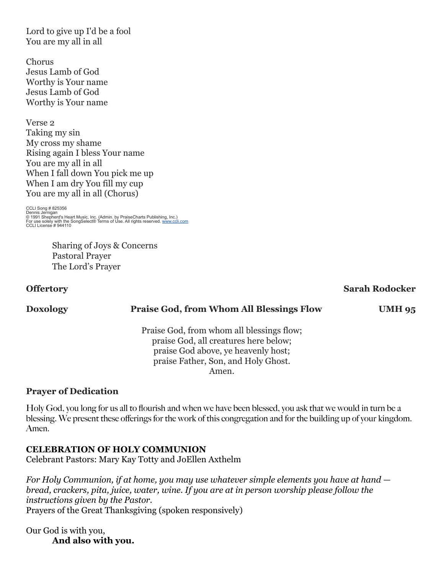Lord to give up I'd be a fool You are my all in all

Chorus Jesus Lamb of God Worthy is Your name Jesus Lamb of God Worthy is Your name

Verse 2 Taking my sin My cross my shame Rising again I bless Your name You are my all in all When I fall down You pick me up When I am dry You fill my cup You are my all in all (Chorus)

CCLI Song # 825356<br>Dennis Jernigan<br>© 1991 Shepherd's Heart Music, Inc. (Admin. by PraiseCharts Publishing, Inc.)<br>For use solely with the SongSelect® Terms of Use. All rights reserved. <u>[www.ccli.com](http://www.ccli.com/)</u><br>CCLI License # 944110

Sharing of Joys & Concerns Pastoral Prayer The Lord's Prayer

### **Offertory Sarah Rodocker**

**Doxology Praise God, from Whom All Blessings Flow UMH 95**

Praise God, from whom all blessings flow; praise God, all creatures here below; praise God above, ye heavenly host; praise Father, Son, and Holy Ghost. Amen.

### **Prayer of Dedication**

Holy God, you long for us all to flourish and when we have been blessed, you ask that we would in turn be a blessing. We present these offerings for the work of this congregation and for the building up of your kingdom. Amen.

### **CELEBRATION OF HOLY COMMUNION**

Celebrant Pastors: Mary Kay Totty and JoEllen Axthelm

*For Holy Communion, if at home, you may use whatever simple elements you have at hand bread, crackers, pita, juice, water, wine. If you are at in person worship please follow the instructions given by the Pastor.*  Prayers of the Great Thanksgiving (spoken responsively)

Our God is with you, **And also with you.**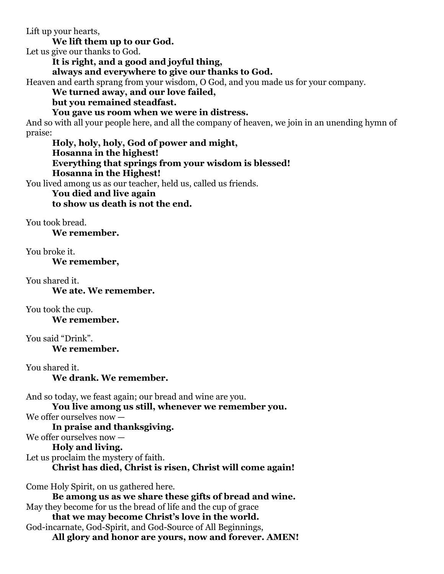Lift up your hearts,

**We lift them up to our God.**

Let us give our thanks to God.

**It is right, and a good and joyful thing,** 

**always and everywhere to give our thanks to God.**

Heaven and earth sprang from your wisdom, O God, and you made us for your company.

### **We turned away, and our love failed,**

**but you remained steadfast.**

**You gave us room when we were in distress.** 

And so with all your people here, and all the company of heaven, we join in an unending hymn of praise:

**Holy, holy, holy, God of power and might, Hosanna in the highest! Everything that springs from your wisdom is blessed! Hosanna in the Highest!**

You lived among us as our teacher, held us, called us friends.

**You died and live again to show us death is not the end.** 

You took bread. **We remember.** 

You broke it. **We remember,** 

You shared it. **We ate. We remember.** 

You took the cup. **We remember.**

You said "Drink". **We remember.** 

You shared it. **We drank. We remember.** 

And so today, we feast again; our bread and wine are you. **You live among us still, whenever we remember you.**  We offer ourselves now — **In praise and thanksgiving.** We offer ourselves now — **Holy and living.**  Let us proclaim the mystery of faith. **Christ has died, Christ is risen, Christ will come again!**  Come Holy Spirit, on us gathered here.

**Be among us as we share these gifts of bread and wine.**  May they become for us the bread of life and the cup of grace **that we may become Christ's love in the world.**  God-incarnate, God-Spirit, and God-Source of All Beginnings, **All glory and honor are yours, now and forever. AMEN!**